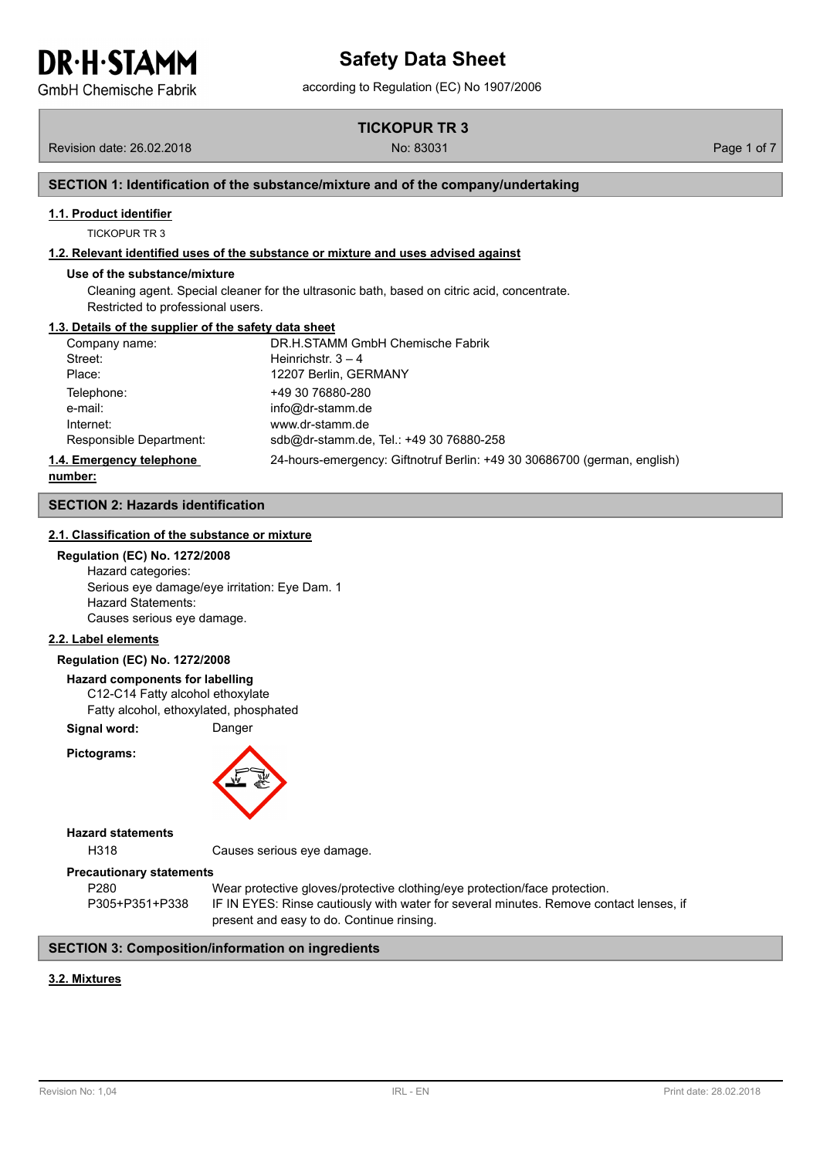**GmbH Chemische Fabrik** 

**TICKOPUR TR 3**

Revision date: 26.02.2018 No: 83031 Page 1 of 7

## **SECTION 1: Identification of the substance/mixture and of the company/undertaking**

## **1.1. Product identifier**

TICKOPUR TR 3

## **1.2. Relevant identified uses of the substance or mixture and uses advised against**

#### **Use of the substance/mixture**

Cleaning agent. Special cleaner for the ultrasonic bath, based on citric acid, concentrate. Restricted to professional users.

#### **1.3. Details of the supplier of the safety data sheet**

| Company name:            | DR.H.STAMM GmbH Chemische Fabrik                                         |
|--------------------------|--------------------------------------------------------------------------|
| Street:                  | Heinrichstr. $3 - 4$                                                     |
| Place:                   | 12207 Berlin, GERMANY                                                    |
| Telephone:               | +49 30 76880-280                                                         |
| e-mail:                  | info@dr-stamm.de                                                         |
| Internet:                | www.dr-stamm.de                                                          |
| Responsible Department:  | sdb@dr-stamm.de, Tel.: +49 30 76880-258                                  |
| 1.4. Emergency telephone | 24-hours-emergency: Giftnotruf Berlin: +49 30 30686700 (german, english) |

**number:**

## **SECTION 2: Hazards identification**

## **2.1. Classification of the substance or mixture**

**Regulation (EC) No. 1272/2008**

Hazard categories: Serious eye damage/eye irritation: Eye Dam. 1 Hazard Statements: Causes serious eye damage.

## **2.2. Label elements**

## **Regulation (EC) No. 1272/2008**

## **Hazard components for labelling**

C12-C14 Fatty alcohol ethoxylate Fatty alcohol, ethoxylated, phosphated

**Signal word:** Danger

**Pictograms:**



#### **Hazard statements**

H318 Causes serious eye damage.

#### **Precautionary statements**

P280 Wear protective gloves/protective clothing/eye protection/face protection. P305+P351+P338 IF IN EYES: Rinse cautiously with water for several minutes. Remove contact lenses, if present and easy to do. Continue rinsing.

## **SECTION 3: Composition/information on ingredients**

## **3.2. Mixtures**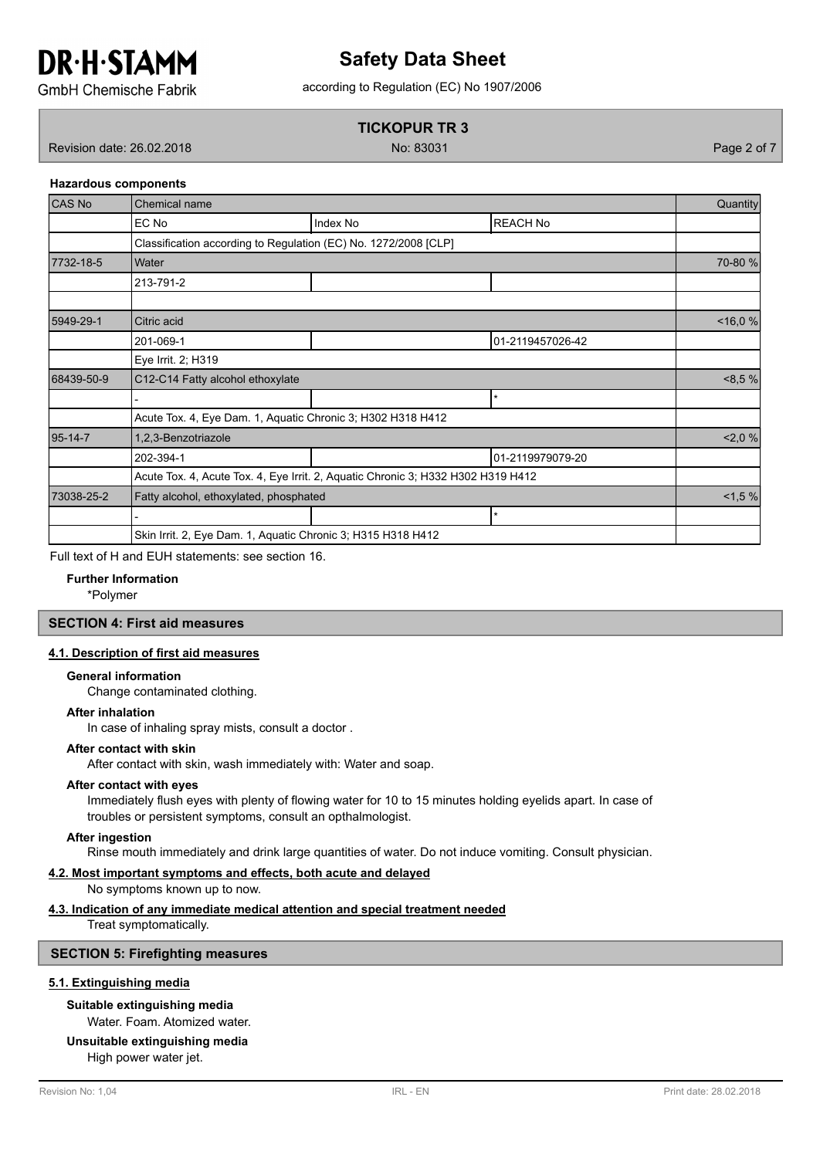## **Safety Data Sheet**

according to Regulation (EC) No 1907/2006

**GmbH Chemische Fabrik** 

## **TICKOPUR TR 3**

Revision date: 26.02.2018 No: 83031 Page 2 of 7

## **Hazardous components**

| <b>CAS No</b> | <b>Chemical name</b>                                                             |          |                  |            |  |  |
|---------------|----------------------------------------------------------------------------------|----------|------------------|------------|--|--|
|               | EC No                                                                            | Index No | <b>REACH No</b>  |            |  |  |
|               | Classification according to Regulation (EC) No. 1272/2008 [CLP]                  |          |                  |            |  |  |
| 7732-18-5     | <b>Water</b>                                                                     |          |                  | 70-80 %    |  |  |
|               | 213-791-2                                                                        |          |                  |            |  |  |
|               |                                                                                  |          |                  |            |  |  |
| 5949-29-1     | Citric acid                                                                      |          |                  | $<$ 16,0 % |  |  |
|               | 201-069-1                                                                        |          | 01-2119457026-42 |            |  |  |
|               | Eye Irrit. 2; H319                                                               |          |                  |            |  |  |
| 68439-50-9    | C12-C14 Fatty alcohol ethoxylate                                                 |          |                  |            |  |  |
|               |                                                                                  |          | *                |            |  |  |
|               | Acute Tox. 4, Eye Dam. 1, Aquatic Chronic 3; H302 H318 H412                      |          |                  |            |  |  |
| $95 - 14 - 7$ | 1,2,3-Benzotriazole                                                              |          |                  |            |  |  |
|               | 202-394-1                                                                        |          | 01-2119979079-20 |            |  |  |
|               | Acute Tox. 4, Acute Tox. 4, Eye Irrit. 2, Aquatic Chronic 3; H332 H302 H319 H412 |          |                  |            |  |  |
| 73038-25-2    | Fatty alcohol, ethoxylated, phosphated                                           |          |                  |            |  |  |
|               |                                                                                  |          | *                |            |  |  |
|               | Skin Irrit. 2, Eye Dam. 1, Aquatic Chronic 3; H315 H318 H412                     |          |                  |            |  |  |

Full text of H and EUH statements: see section 16.

**Further Information**

\*Polymer

## **SECTION 4: First aid measures**

## **4.1. Description of first aid measures**

## **General information**

Change contaminated clothing.

#### **After inhalation**

In case of inhaling spray mists, consult a doctor .

## **After contact with skin**

After contact with skin, wash immediately with: Water and soap.

#### **After contact with eyes**

Immediately flush eyes with plenty of flowing water for 10 to 15 minutes holding eyelids apart. In case of troubles or persistent symptoms, consult an opthalmologist.

#### **After ingestion**

Rinse mouth immediately and drink large quantities of water. Do not induce vomiting. Consult physician.

## **4.2. Most important symptoms and effects, both acute and delayed**

No symptoms known up to now.

#### **4.3. Indication of any immediate medical attention and special treatment needed**

Treat symptomatically.

## **SECTION 5: Firefighting measures**

#### **5.1. Extinguishing media**

## **Suitable extinguishing media**

Water. Foam. Atomized water.

## **Unsuitable extinguishing media**

High power water jet.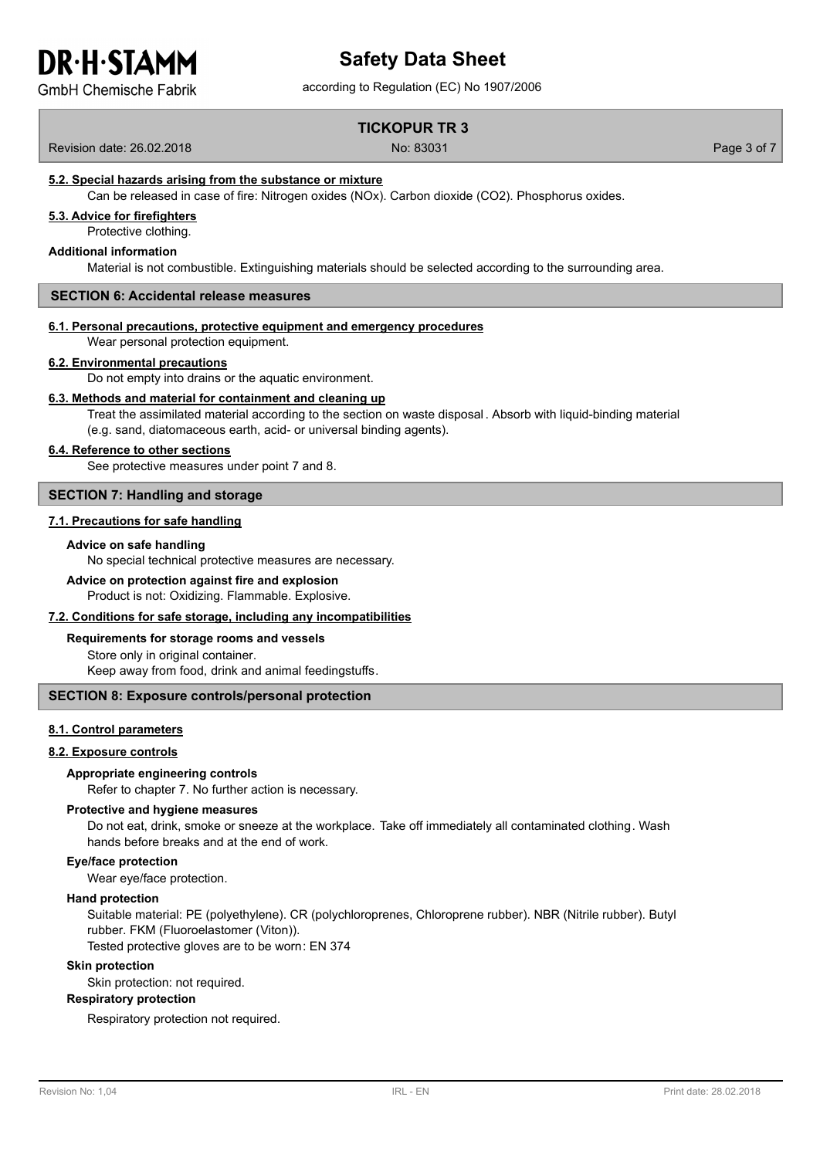**GmbH Chemische Fabrik** 

# **Safety Data Sheet**

according to Regulation (EC) No 1907/2006

## **TICKOPUR TR 3**

Revision date: 26.02.2018 No: 83031 Page 3 of 7

## **5.2. Special hazards arising from the substance or mixture**

Can be released in case of fire: Nitrogen oxides (NOx). Carbon dioxide (CO2). Phosphorus oxides.

## **5.3. Advice for firefighters**

Protective clothing.

## **Additional information**

Material is not combustible. Extinguishing materials should be selected according to the surrounding area.

#### **SECTION 6: Accidental release measures**

## **6.1. Personal precautions, protective equipment and emergency procedures**

Wear personal protection equipment.

#### **6.2. Environmental precautions**

Do not empty into drains or the aquatic environment.

#### **6.3. Methods and material for containment and cleaning up**

Treat the assimilated material according to the section on waste disposal . Absorb with liquid-binding material (e.g. sand, diatomaceous earth, acid- or universal binding agents).

#### **6.4. Reference to other sections**

See protective measures under point 7 and 8.

## **SECTION 7: Handling and storage**

#### **7.1. Precautions for safe handling**

## **Advice on safe handling**

No special technical protective measures are necessary.

## **Advice on protection against fire and explosion**

Product is not: Oxidizing. Flammable. Explosive.

#### **7.2. Conditions for safe storage, including any incompatibilities**

## **Requirements for storage rooms and vessels**

Store only in original container. Keep away from food, drink and animal feedingstuffs.

## **SECTION 8: Exposure controls/personal protection**

## **8.1. Control parameters**

## **8.2. Exposure controls**

## **Appropriate engineering controls**

Refer to chapter 7. No further action is necessary.

#### **Protective and hygiene measures**

Do not eat, drink, smoke or sneeze at the workplace. Take off immediately all contaminated clothing. Wash hands before breaks and at the end of work.

#### **Eye/face protection**

Wear eye/face protection.

## **Hand protection**

Suitable material: PE (polyethylene). CR (polychloroprenes, Chloroprene rubber). NBR (Nitrile rubber). Butyl rubber. FKM (Fluoroelastomer (Viton)).

Tested protective gloves are to be worn: EN 374

## **Skin protection**

Skin protection: not required.

## **Respiratory protection**

Respiratory protection not required.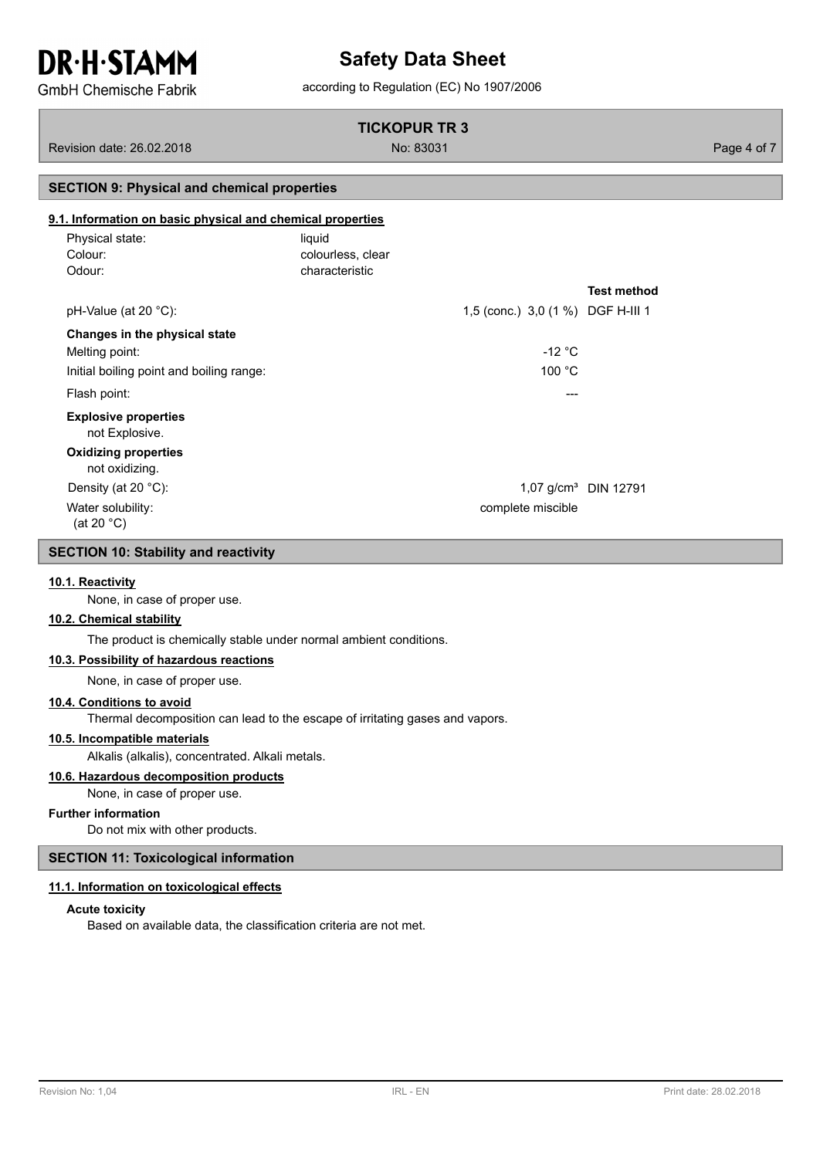## **Safety Data Sheet**

**GmbH Chemische Fabrik** 

## according to Regulation (EC) No 1907/2006

## **TICKOPUR TR 3**

Revision date: 26.02.2018 No: 83031 Page 4 of 7

## **SECTION 9: Physical and chemical properties**

## **9.1. Information on basic physical and chemical properties**

| Physical state:<br>Colour:<br>Odour:          | liquid<br>colourless, clear<br>characteristic |                        |
|-----------------------------------------------|-----------------------------------------------|------------------------|
|                                               |                                               | <b>Test method</b>     |
| $pH-Value$ (at 20 °C):                        | 1,5 (conc.) 3,0 (1 %) DGF H-III 1             |                        |
| Changes in the physical state                 |                                               |                        |
| Melting point:                                | $-12 °C$                                      |                        |
| Initial boiling point and boiling range:      | 100 °C                                        |                        |
| Flash point:                                  | ---                                           |                        |
| <b>Explosive properties</b><br>not Explosive. |                                               |                        |
| <b>Oxidizing properties</b><br>not oxidizing. |                                               |                        |
| Density (at 20 $^{\circ}$ C):                 |                                               | 1,07 $g/cm3$ DIN 12791 |
| Water solubility:<br>(at 20 $°C$ )            | complete miscible                             |                        |

## **SECTION 10: Stability and reactivity**

## **10.1. Reactivity**

None, in case of proper use.

## **10.2. Chemical stability**

The product is chemically stable under normal ambient conditions.

## **10.3. Possibility of hazardous reactions**

None, in case of proper use.

## **10.4. Conditions to avoid**

Thermal decomposition can lead to the escape of irritating gases and vapors.

## **10.5. Incompatible materials**

Alkalis (alkalis), concentrated. Alkali metals.

## **10.6. Hazardous decomposition products**

None, in case of proper use.

## **Further information**

Do not mix with other products.

## **SECTION 11: Toxicological information**

#### **11.1. Information on toxicological effects**

#### **Acute toxicity**

Based on available data, the classification criteria are not met.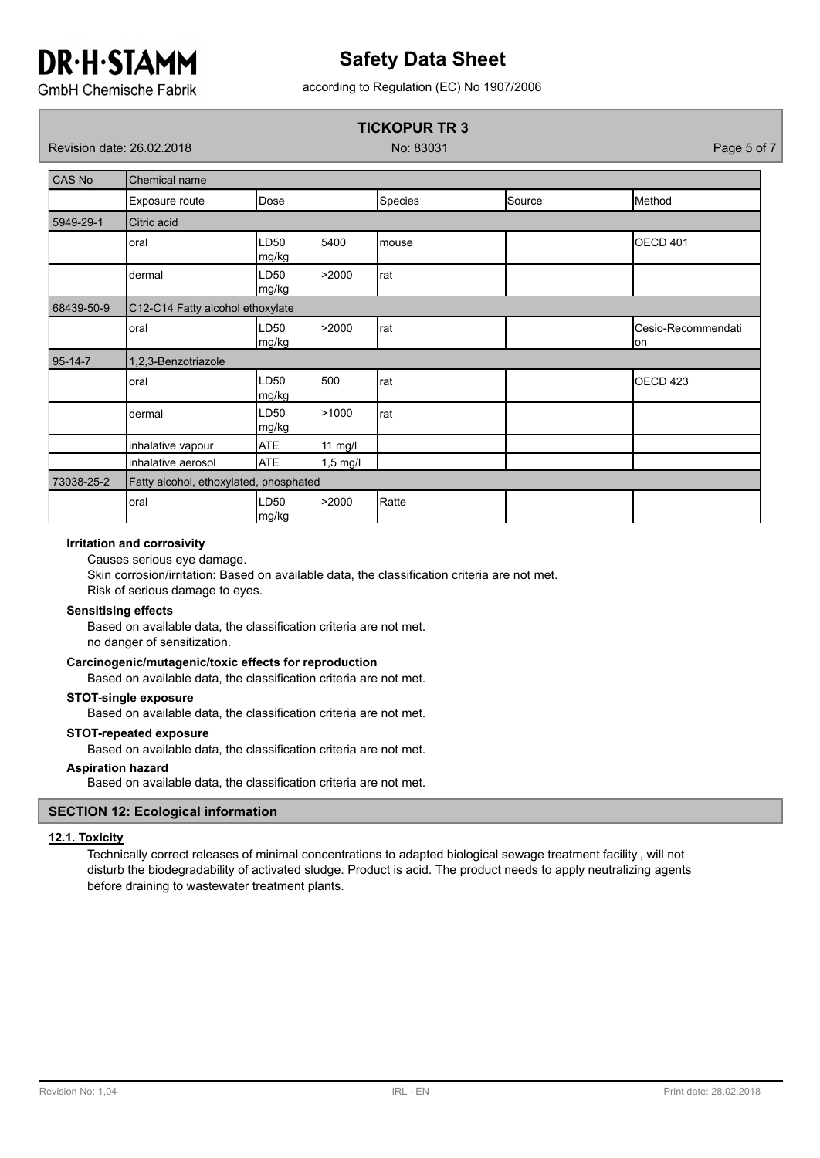## **Safety Data Sheet**

according to Regulation (EC) No 1907/2006

**GmbH Chemische Fabrik** 

## **TICKOPUR TR 3**

Revision date: 26.02.2018 No: 83031 Page 5 of 7

| <b>CAS No</b> | Chemical name                          |                           |            |         |        |                           |  |  |
|---------------|----------------------------------------|---------------------------|------------|---------|--------|---------------------------|--|--|
|               | Exposure route                         | Dose                      |            | Species | Source | Method                    |  |  |
| 5949-29-1     | Citric acid                            |                           |            |         |        |                           |  |  |
|               | oral                                   | LD50<br>mg/kg             | 5400       | mouse   |        | OECD 401                  |  |  |
|               | dermal                                 | LD50<br>mg/kg             | >2000      | rat     |        |                           |  |  |
| 68439-50-9    | C12-C14 Fatty alcohol ethoxylate       |                           |            |         |        |                           |  |  |
|               | oral                                   | LD <sub>50</sub><br>mg/kg | >2000      | rat     |        | Cesio-Recommendati<br>lon |  |  |
| 95-14-7       | 1,2,3-Benzotriazole                    |                           |            |         |        |                           |  |  |
|               | oral                                   | LD50<br>mg/kg             | 500        | rat     |        | OECD <sub>423</sub>       |  |  |
|               | dermal                                 | LD50<br>mg/kg             | >1000      | rat     |        |                           |  |  |
|               | inhalative vapour                      | <b>ATE</b>                | $11$ mg/l  |         |        |                           |  |  |
|               | inhalative aerosol                     | <b>ATE</b>                | $1,5$ mg/l |         |        |                           |  |  |
| 73038-25-2    | Fatty alcohol, ethoxylated, phosphated |                           |            |         |        |                           |  |  |
|               | oral                                   | LD50<br>mg/kg             | >2000      | Ratte   |        |                           |  |  |

## **Irritation and corrosivity**

Causes serious eye damage.

Skin corrosion/irritation: Based on available data, the classification criteria are not met.

Risk of serious damage to eyes.

## **Sensitising effects**

Based on available data, the classification criteria are not met. no danger of sensitization.

## **Carcinogenic/mutagenic/toxic effects for reproduction**

Based on available data, the classification criteria are not met.

## **STOT-single exposure**

Based on available data, the classification criteria are not met.

## **STOT-repeated exposure**

Based on available data, the classification criteria are not met.

## **Aspiration hazard**

Based on available data, the classification criteria are not met.

## **SECTION 12: Ecological information**

## **12.1. Toxicity**

Technically correct releases of minimal concentrations to adapted biological sewage treatment facility , will not disturb the biodegradability of activated sludge. Product is acid. The product needs to apply neutralizing agents before draining to wastewater treatment plants.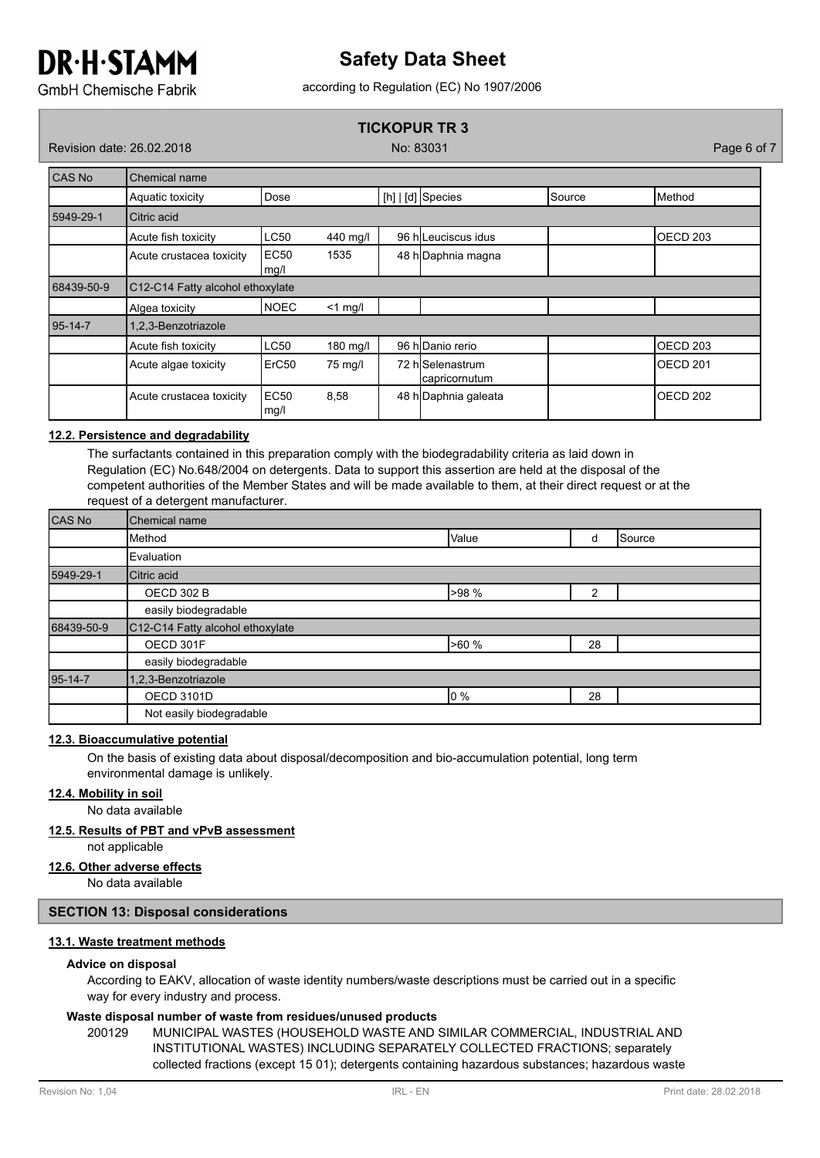## **Safety Data Sheet**

according to Regulation (EC) No 1907/2006

**GmbH Chemische Fabrik** 

## **TICKOPUR TR 3**

Revision date: 26.02.2018 No: 83031 Page 6 of 7

| <b>CAS No</b> | Chemical name                                    |                   |            |                     |                                   |                     |          |
|---------------|--------------------------------------------------|-------------------|------------|---------------------|-----------------------------------|---------------------|----------|
|               | Aquatic toxicity                                 | Dose              |            |                     | $[h]   [d]$ Species               | Source              | Method   |
| 5949-29-1     | Citric acid                                      |                   |            |                     |                                   |                     |          |
|               | LC50<br>440 mg/l<br>Acute fish toxicity          |                   |            | 96 h Leuciscus idus |                                   | OECD <sub>203</sub> |          |
|               | Acute crustacea toxicity<br>EC50<br>1535<br>mg/l |                   |            | 48 h Daphnia magna  |                                   |                     |          |
| 68439-50-9    | C12-C14 Fatty alcohol ethoxylate                 |                   |            |                     |                                   |                     |          |
|               | Algea toxicity                                   | <b>INOEC</b>      | $<$ 1 mg/l |                     |                                   |                     |          |
| $95 - 14 - 7$ | 1,2,3-Benzotriazole                              |                   |            |                     |                                   |                     |          |
|               | Acute fish toxicity                              | LC50              | 180 mg/l   |                     | 96 h Danio rerio                  |                     | OECD 203 |
|               | Acute algae toxicity                             | ErC <sub>50</sub> | 75 mg/l    |                     | 72 h Selenastrum<br>capricornutum |                     | OECD 201 |
|               | Acute crustacea toxicity                         | EC50<br>mg/l      | 8,58       |                     | 48 h Daphnia galeata              |                     | OECD 202 |

## **12.2. Persistence and degradability**

The surfactants contained in this preparation comply with the biodegradability criteria as laid down in Regulation (EC) No.648/2004 on detergents. Data to support this assertion are held at the disposal of the competent authorities of the Member States and will be made available to them, at their direct request or at the request of a detergent manufacturer.

| CAS No               | Chemical name                               |       |    |        |  |  |  |
|----------------------|---------------------------------------------|-------|----|--------|--|--|--|
|                      | <b>Method</b>                               | Value | d  | Source |  |  |  |
|                      | Evaluation                                  |       |    |        |  |  |  |
| 5949-29-1            | Citric acid                                 |       |    |        |  |  |  |
|                      | >98 %<br><b>OECD 302 B</b><br>$\mathcal{P}$ |       |    |        |  |  |  |
|                      | easily biodegradable                        |       |    |        |  |  |  |
| 68439-50-9           | C12-C14 Fatty alcohol ethoxylate            |       |    |        |  |  |  |
| OECD 301F            |                                             | >60 % | 28 |        |  |  |  |
| easily biodegradable |                                             |       |    |        |  |  |  |
| 95-14-7              | 1,2,3-Benzotriazole                         |       |    |        |  |  |  |
|                      | <b>OECD 3101D</b>                           | $0\%$ | 28 |        |  |  |  |
|                      | Not easily biodegradable                    |       |    |        |  |  |  |

## **12.3. Bioaccumulative potential**

On the basis of existing data about disposal/decomposition and bio-accumulation potential, long term environmental damage is unlikely.

## **12.4. Mobility in soil**

No data available

## **12.5. Results of PBT and vPvB assessment**

not applicable

**12.6. Other adverse effects**

No data available

## **SECTION 13: Disposal considerations**

## **13.1. Waste treatment methods**

## **Advice on disposal**

According to EAKV, allocation of waste identity numbers/waste descriptions must be carried out in a specific way for every industry and process.

## **Waste disposal number of waste from residues/unused products**

200129 MUNICIPAL WASTES (HOUSEHOLD WASTE AND SIMILAR COMMERCIAL, INDUSTRIAL AND INSTITUTIONAL WASTES) INCLUDING SEPARATELY COLLECTED FRACTIONS; separately collected fractions (except 15 01); detergents containing hazardous substances; hazardous waste